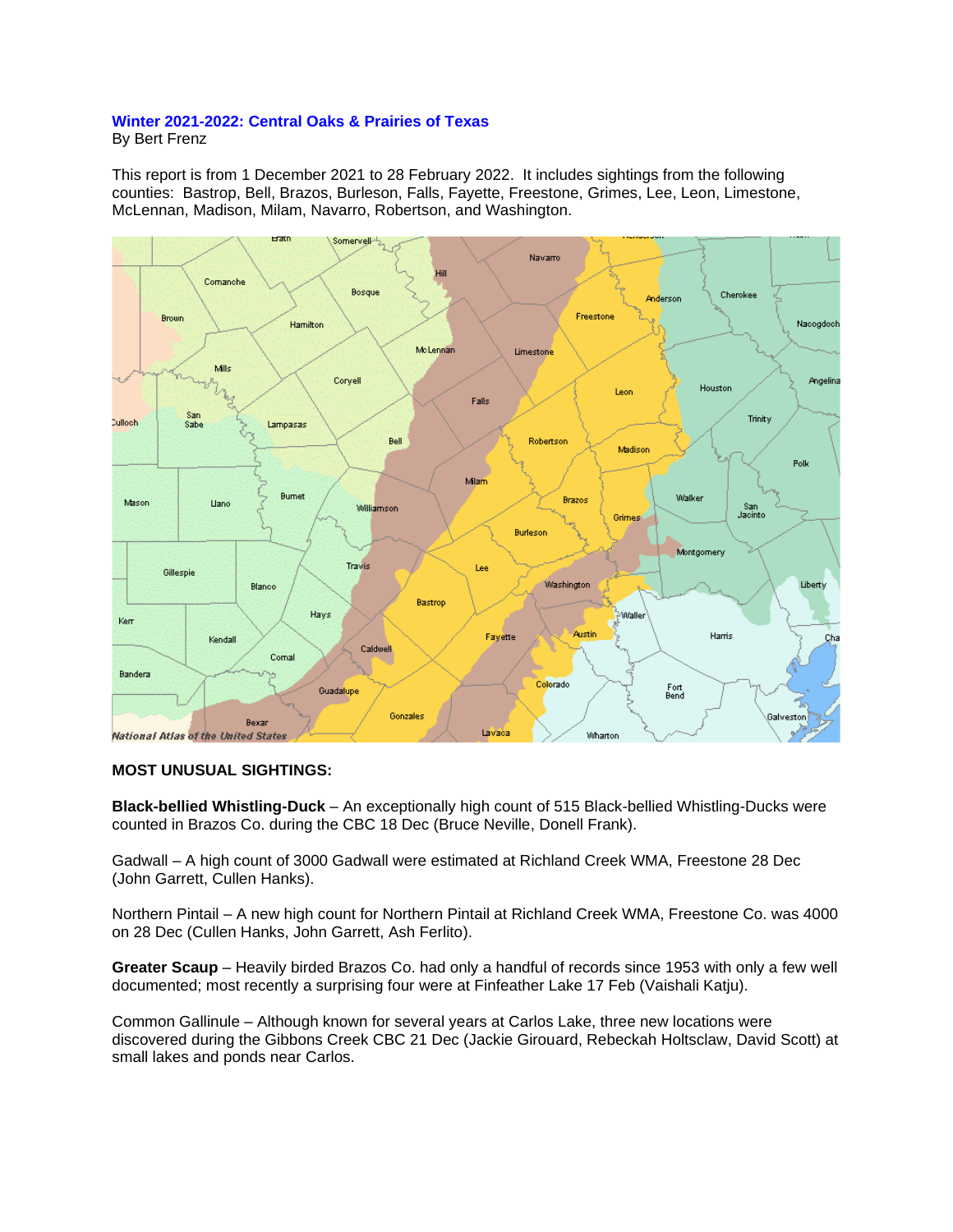## **Winter 2021-2022: Central Oaks & Prairies of Texas**

By Bert Frenz

This report is from 1 December 2021 to 28 February 2022. It includes sightings from the following counties: Bastrop, Bell, Brazos, Burleson, Falls, Fayette, Freestone, Grimes, Lee, Leon, Limestone, McLennan, Madison, Milam, Navarro, Robertson, and Washington.



## **MOST UNUSUAL SIGHTINGS:**

**Black-bellied Whistling-Duck** – An exceptionally high count of 515 Black-bellied Whistling-Ducks were counted in Brazos Co. during the CBC 18 Dec (Bruce Neville, Donell Frank).

Gadwall – A high count of 3000 Gadwall were estimated at Richland Creek WMA, Freestone 28 Dec (John Garrett, Cullen Hanks).

Northern Pintail – A new high count for Northern Pintail at Richland Creek WMA, Freestone Co. was 4000 on 28 Dec (Cullen Hanks, John Garrett, Ash Ferlito).

**Greater Scaup** – Heavily birded Brazos Co. had only a handful of records since 1953 with only a few well documented; most recently a surprising four were at Finfeather Lake 17 Feb (Vaishali Katju).

Common Gallinule – Although known for several years at Carlos Lake, three new locations were discovered during the Gibbons Creek CBC 21 Dec (Jackie Girouard, Rebeckah Holtsclaw, David Scott) at small lakes and ponds near Carlos.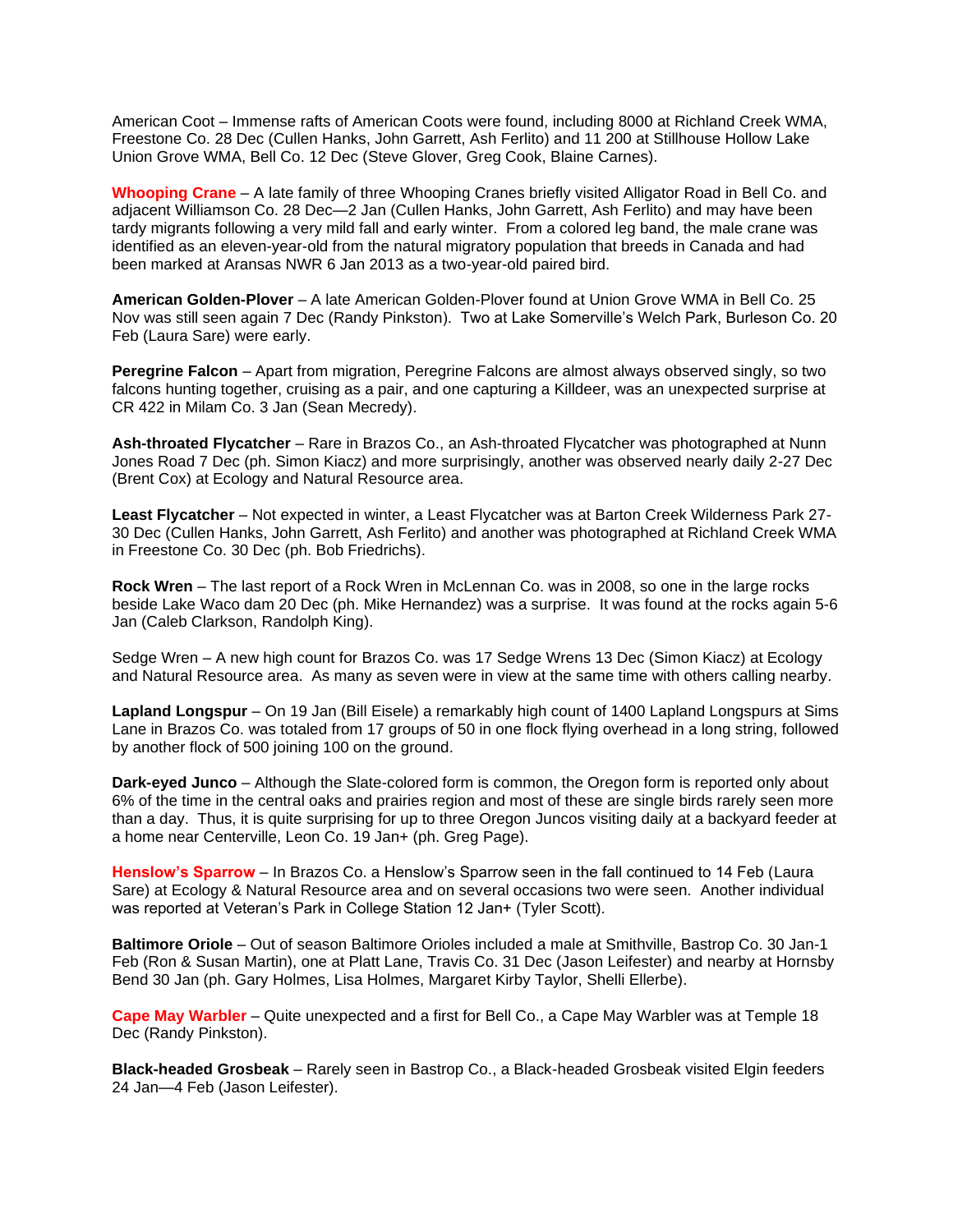American Coot – Immense rafts of American Coots were found, including 8000 at Richland Creek WMA, Freestone Co. 28 Dec (Cullen Hanks, John Garrett, Ash Ferlito) and 11 200 at Stillhouse Hollow Lake Union Grove WMA, Bell Co. 12 Dec (Steve Glover, Greg Cook, Blaine Carnes).

**Whooping Crane** – A late family of three Whooping Cranes briefly visited Alligator Road in Bell Co. and adjacent Williamson Co. 28 Dec—2 Jan (Cullen Hanks, John Garrett, Ash Ferlito) and may have been tardy migrants following a very mild fall and early winter. From a colored leg band, the male crane was identified as an eleven-year-old from the natural migratory population that breeds in Canada and had been marked at Aransas NWR 6 Jan 2013 as a two-year-old paired bird.

**American Golden-Plover** – A late American Golden-Plover found at Union Grove WMA in Bell Co. 25 Nov was still seen again 7 Dec (Randy Pinkston). Two at Lake Somerville's Welch Park, Burleson Co. 20 Feb (Laura Sare) were early.

**Peregrine Falcon** – Apart from migration, Peregrine Falcons are almost always observed singly, so two falcons hunting together, cruising as a pair, and one capturing a Killdeer, was an unexpected surprise at CR 422 in Milam Co. 3 Jan (Sean Mecredy).

**Ash-throated Flycatcher** – Rare in Brazos Co., an Ash-throated Flycatcher was photographed at Nunn Jones Road 7 Dec (ph. Simon Kiacz) and more surprisingly, another was observed nearly daily 2-27 Dec (Brent Cox) at Ecology and Natural Resource area.

**Least Flycatcher** – Not expected in winter, a Least Flycatcher was at Barton Creek Wilderness Park 27- 30 Dec (Cullen Hanks, John Garrett, Ash Ferlito) and another was photographed at Richland Creek WMA in Freestone Co. 30 Dec (ph. Bob Friedrichs).

**Rock Wren** – The last report of a Rock Wren in McLennan Co. was in 2008, so one in the large rocks beside Lake Waco dam 20 Dec (ph. Mike Hernandez) was a surprise. It was found at the rocks again 5-6 Jan (Caleb Clarkson, Randolph King).

Sedge Wren – A new high count for Brazos Co. was 17 Sedge Wrens 13 Dec (Simon Kiacz) at Ecology and Natural Resource area. As many as seven were in view at the same time with others calling nearby.

**Lapland Longspur** – On 19 Jan (Bill Eisele) a remarkably high count of 1400 Lapland Longspurs at Sims Lane in Brazos Co. was totaled from 17 groups of 50 in one flock flying overhead in a long string, followed by another flock of 500 joining 100 on the ground.

**Dark-eyed Junco** – Although the Slate-colored form is common, the Oregon form is reported only about 6% of the time in the central oaks and prairies region and most of these are single birds rarely seen more than a day. Thus, it is quite surprising for up to three Oregon Juncos visiting daily at a backyard feeder at a home near Centerville, Leon Co. 19 Jan+ (ph. Greg Page).

**Henslow's Sparrow** – In Brazos Co. a Henslow's Sparrow seen in the fall continued to 14 Feb (Laura Sare) at Ecology & Natural Resource area and on several occasions two were seen. Another individual was reported at Veteran's Park in College Station 12 Jan+ (Tyler Scott).

**Baltimore Oriole** – Out of season Baltimore Orioles included a male at Smithville, Bastrop Co. 30 Jan-1 Feb (Ron & Susan Martin), one at Platt Lane, Travis Co. 31 Dec (Jason Leifester) and nearby at Hornsby Bend 30 Jan (ph. Gary Holmes, Lisa Holmes, Margaret Kirby Taylor, Shelli Ellerbe).

**Cape May Warbler** – Quite unexpected and a first for Bell Co., a Cape May Warbler was at Temple 18 Dec (Randy Pinkston).

**Black-headed Grosbeak** – Rarely seen in Bastrop Co., a Black-headed Grosbeak visited Elgin feeders 24 Jan—4 Feb (Jason Leifester).